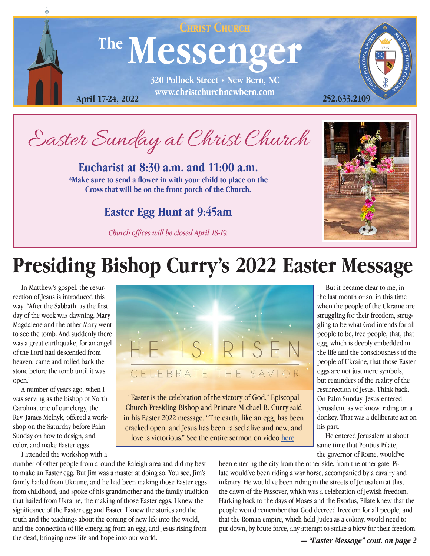

Easter Sunday at Christ Church

**Eucharist at 8:30 a.m. and 11:00 a.m. \*Make sure to send a flower in with your child to place on the Cross that will be on the front porch of the Church.**

#### **Easter Egg Hunt at 9:45am**

*Church offices will be closed April 18-19.*



# **Presiding Bishop Curry's 2022 Easter Message**

 In Matthew's gospel, the resurrection of Jesus is introduced this way: "After the Sabbath, as the first day of the week was dawning, Mary Magdalene and the other Mary went to see the tomb. And suddenly there was a great earthquake, for an angel of the Lord had descended from heaven, came and rolled back the stone before the tomb until it was open."

 A number of years ago, when I was serving as the bishop of North Carolina, one of our clergy, the Rev. James Melnyk, offered a workshop on the Saturday before Palm Sunday on how to design, and color, and make Easter eggs.

I attended the workshop with a



"Easter is the celebration of the victory of God," Episcopal Church Presiding Bishop and Primate Michael B. Curry said in his Easter 2022 message. "The earth, like an egg, has been cracked open, and Jesus has been raised alive and new, and love is victorious." See the entire sermon on video [here](https://www.episcopalchurch.org/publicaffairs/presiding-bishop-curry-easter-2022-message/).

 But it became clear to me, in the last month or so, in this time when the people of the Ukraine are struggling for their freedom, struggling to be what God intends for all people to be, free people, that, that egg, which is deeply embedded in the life and the consciousness of the people of Ukraine, that those Easter eggs are not just mere symbols, but reminders of the reality of the resurrection of Jesus. Think back. On Palm Sunday, Jesus entered Jerusalem, as we know, riding on a donkey. That was a deliberate act on his part.

 He entered Jerusalem at about same time that Pontius Pilate, the governor of Rome, would've

number of other people from around the Raleigh area and did my best to make an Easter egg. But Jim was a master at doing so. You see, Jim's family hailed from Ukraine, and he had been making those Easter eggs from childhood, and spoke of his grandmother and the family tradition that hailed from Ukraine, the making of those Easter eggs. I knew the significance of the Easter egg and Easter. I knew the stories and the truth and the teachings about the coming of new life into the world, and the connection of life emerging from an egg, and Jesus rising from the dead, bringing new life and hope into our world.

been entering the city from the other side, from the other gate. Pilate would've been riding a war horse, accompanied by a cavalry and infantry. He would've been riding in the streets of Jerusalem at this, the dawn of the Passover, which was a celebration of Jewish freedom. Harking back to the days of Moses and the Exodus, Pilate knew that the people would remember that God decreed freedom for all people, and that the Roman empire, which held Judea as a colony, would need to put down, by brute force, any attempt to strike a blow for their freedom.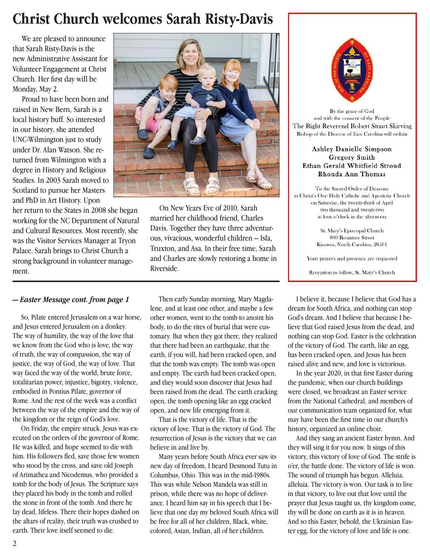### **Christ Church welcomes Sarah Risty-Davis**

 We are pleased to announce that Sarah Risty-Davis is the new Administrative Assistant for Volunteer Engagement at Christ Church. Her first day will be Monday, May 2.

Proud to have been born and raised in New Bern, Sarah is a local history buff. So interested in our history, she attended UNC-Wilmington just to study under Dr. Alan Watson. She returned from Wilmington with a degree in History and Religious Studies. In 2003 Sarah moved to Scotland to pursue her Masters and PhD in Art History. Upon

her return to the States in 2008 she began working for the NC Department of Natural and Cultural Resources. Most recently, she was the Visitor Services Manager at Tryon Palace. Sarah brings to Christ Church a strong background in volunteer management.



On New Years Eve of 2010, Sarah married her childhood friend, Charles Davis. Together they have three adventurous, vivacious, wonderful children – Isla, Truxton, and Asa. In their free time, Sarah and Charles are slowly restoring a home in Riverside.

 So, Pilate entered Jerusalem on a war horse, and Jesus entered Jerusalem on a donkey. The way of humility, the way of the love that we know from the God who is love, the way of truth, the way of compassion, the way of justice, the way of God, the way of love. That way faced the way of the world, brute force, totalitarian power, injustice, bigotry, violence, embodied in Pontius Pilate, governor of Rome. And the rest of the week was a conflict between the way of the empire and the way of the kingdom or the reign of God's love.

 On Friday, the empire struck. Jesus was executed on the orders of the governor of Rome. He was killed, and hope seemed to die with him. His followers fled, save those few women who stood by the cross, and save old Joseph of Arimathea and Nicodemus, who provided a tomb for the body of Jesus. The Scripture says they placed his body in the tomb and rolled the stone in front of the tomb. And there he lay dead, lifeless. There their hopes dashed on the altars of reality, their truth was crushed to earth. Their love itself seemed to die.

*— Easter Message cont. from page 1* Then early Sunday morning, Mary Magdalene, and at least one other, and maybe a few other women, went to the tomb to anoint his body, to do the rites of burial that were customary. But when they got there, they realized that there had been an earthquake, that the earth, if you will, had been cracked open, and that the tomb was empty. The tomb was open and empty. The earth had been cracked open, and they would soon discover that Jesus had been raised from the dead. The earth cracking open, the tomb opening like an egg cracked open, and new life emerging from it.

> That is the victory of life. That is the victory of love. That is the victory of God. The resurrection of Jesus is the victory that we can believe in and live by.

 Many years before South Africa ever saw its new day of freedom, I heard Desmond Tutu in Columbus, Ohio. This was in the mid-1980s. This was while Nelson Mandela was still in prison, while there was no hope of deliverance. I heard him say in his speech that I believe that one day my beloved South Africa will be free for all of her children, Black, white, colored, Asian, Indian, all of her children.



By the grace of God and with the consent of the People The Right Reverend Robert Stuart Skirving Bishop of the Diocese of East Carolina will ordain

#### Ashley Danielle Simpson Gregory Smith Ethan Gerald Whitfield Stroud Rhonda Ann Thomas

To the Sacred Order of Deacons in Christ's One Holy Catholic and Apostolic Church on Saturday, the twenty-third of April two thousand and twenty-two at four o'clock in the afternoon

> St. Mary's Episcopal Church 800 Rountree Street Kinston, North Carolina, 28501

Your prayers and presence are requested

Reception to follow, St. Mary's Church

 I believe it, because I believe that God has a dream for South Africa, and nothing can stop God's dream. And I believe that because I believe that God raised Jesus from the dead, and nothing can stop God. Easter is the celebration of the victory of God. The earth, like an egg, has been cracked open, and Jesus has been raised alive and new, and love is victorious.

 In the year 2020, in that first Easter during the pandemic, when our church buildings were closed, we broadcast an Easter service from the National Cathedral, and members of our communication team organized for, what may have been the first time in our church's history, organized an online choir.

 And they sang an ancient Easter hymn. And they will sing it for you now. It sings of this victory, this victory of love of God. The strife is o'er, the battle done. The victory of life is won. The sound of triumph has begun. Alleluia, alleluia. The victory is won. Our task is to live in that victory, to live out that love until the prayer that Jesus taught us, thy kingdom come, thy will be done on earth as it is in heaven. And so this Easter, behold, the Ukrainian Easter egg, for the victory of love and life is one.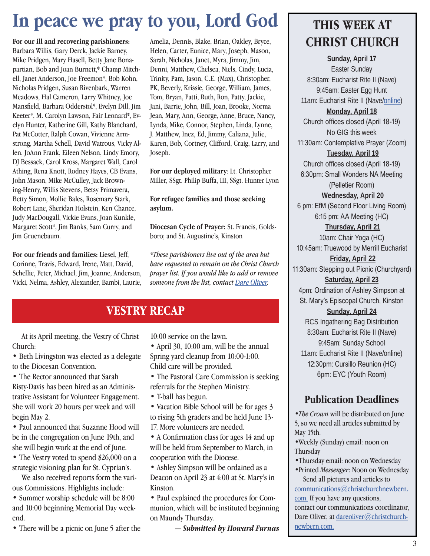## **In peace we pray to you, Lord God**

**For our ill and recovering parishioners:**  Barbara Willis, Gary Derck, Jackie Barney, Mike Pridgen, Mary Hasell, Betty Jane Bonapartian, Bob and Joan Burnett,\* Champ Mitchell, Janet Anderson, Joe Freemon\*, Bob Kohn, Nicholas Pridgen, Susan Rivenbark, Warren Meadows, Hal Cameron, Larry Whitney, Joe Mansfield, Barbara Odderstol\*, Evelyn Dill, Jim Keeter\*, M. Carolyn Lawson, Fair Leonard\*, Evelyn Hunter, Katherine Gill, Kathy Blanchard, Pat McCotter, Ralph Cowan, Vivienne Armstrong, Martha Schell, David Watrous, Vicky Allen, JoAnn Frank, Eileen Nelson, Lindy Emory, DJ Bessack, Carol Kross, Margaret Wall, Carol Athing, Rena Knott, Rodney Hayes, CB Evans, John Mason, Mike McCulley, Jack Browning-Henry, Willis Stevens, Betsy Primavera, Betty Simon, Mollie Bales, Rosemary Stark, Robert Lane, Sheridan Holstein, Ken Chance, Judy MacDougall, Vickie Evans, Joan Kunkle, Margaret Scott\*, Jim Banks, Sam Curry, and Jim Gruenebaum.

**For our friends and families:** Liesel, Jeff, Corinne, Travis, Edward, Irene, Matt, David, Schellie, Peter, Michael, Jim, Joanne, Anderson, Vicki, Nelma, Ashley, Alexander, Bambi, Laurie,

Amelia, Dennis, Blake, Brian, Oakley, Bryce, Helen, Carter, Eunice, Mary, Joseph, Mason, Sarah, Nicholas, Janet, Myra, Jimmy, Jim, Denni, Matthew, Chelsea, Niels, Cindy, Lucia, Trinity, Pam, Jason, C.E. (Max), Christopher, PK, Beverly, Krissie, George, William, James, Tom, Bryan, Patti, Ruth, Ron, Patty, Jackie, Jani, Barrie, John, Bill, Joan, Brooke, Norma Jean, Mary, Ann, George, Anne, Bruce, Nancy, Lynda, Mike, Connor, Stephen, Linda, Lynne, J. Matthew, Inez, Ed, Jimmy, Caliana, Julie, Karen, Bob, Cortney, Clifford, Craig, Larry, and Joseph.

**For our deployed military**: Lt. Christopher Miller, SSgt. Philip Buffa, III, SSgt. Hunter Lyon

**For refugee families and those seeking asylum.**

**Diocesan Cycle of Prayer:** St. Francis, Goldsboro; and St. Augustine's, Kinston

*\*These parishioners live out of the area but have requested to remain on the Christ Church prayer list. If you would like to add or remove someone from the list, contact Dare Oliver.*

#### **VESTRY RECAP**

 At its April meeting, the Vestry of Christ Church:

• Beth Livingston was elected as a delegate to the Diocesan Convention.

• The Rector announced that Sarah Risty-Davis has been hired as an Administrative Assistant for Volunteer Engagement. She will work 20 hours per week and will begin May 2.

• Paul announced that Suzanne Hood will be in the congregation on June 19th, and she will begin work at the end of June.

• The Vestry voted to spend \$26,000 on a strategic visioning plan for St. Cyprian's.

 We also received reports form the various Commissions. Highlights include:

• Summer worship schedule will be 8:00 and 10:00 beginning Memorial Day weekend.

• There will be a picnic on June 5 after the

10:00 service on the lawn.

• April 30, 10:00 am, will be the annual Spring yard cleanup from 10:00-1:00. Child care will be provided.

• The Pastoral Care Commission is seeking referrals for the Stephen Ministry.

- T-ball has begun.
- Vacation Bible School will be for ages 3 to rising 5th graders and be held June 13- 17. More volunteers are needed.

• A Confirmation class for ages 14 and up will be held from September to March, in cooperation with the Diocese.

• Ashley Simpson will be ordained as a Deacon on April 23 at 4:00 at St. Mary's in Kinston.

• Paul explained the procedures for Communion, which will be instituted beginning on Maundy Thursday.

*— Submitted by Howard Furnas*

### **THIS WEEK AT CHRIST CHURCH**

**Sunday, April 17** Easter Sunday 8:30am: Eucharist Rite II (Nave) 9:45am: Easter Egg Hunt 11am: Eucharist Rite II (Nave/[online](https://youtu.be/OKKkPIL39K8)) **Monday, April 18** Church offices closed (April 18-19) No GIG this week 11:30am: Contemplative Prayer (Zoom) **Tuesday, April 19** Church offices closed (April 18-19) 6:30pm: Small Wonders NA Meeting (Pelletier Room) **Wednesday, April 20** 6 pm: EfM (Second Floor Living Room) 6:15 pm: AA Meeting (HC) **Thursday, April 21** 10am: Chair Yoga (HC) 10:45am: Truewood by Merrill Eucharist **Friday, April 22** 11:30am: Stepping out Picnic (Churchyard) **Saturday, April 23** 4pm: Ordination of Ashley Simpson at St. Mary's Episcopal Church, Kinston **Sunday, April 24** RCS Ingathering Bag Distribution 8:30am: Eucharist Rite II (Nave) 9:45am: Sunday School 11am: Eucharist Rite II (Nave/online) 12:30pm: Cursillo Reunion (HC) 6pm: EYC (Youth Room)

#### **Publication Deadlines**

•*The Crown* will be distributed on June 5, so we need all articles submitted by May 15th.

•Weekly (Sunday) email: noon on Thursday

•Thursday email: noon on Wednesday •Printed *Messenger*: Noon on Wednesday

 Send all pictures and articles to [communications@christchurchnewbern.](mailto:communications%40christchurchnewbern.com?subject=) [com](mailto:communications%40christchurchnewbern.com?subject=). If you have any questions, contact our communications coordinator, Dare Oliver, at [dareoliver@christchurch](mailto:dareoliver%40christchurchnewbern.com?subject=)[newbern.com](mailto:dareoliver%40christchurchnewbern.com?subject=).